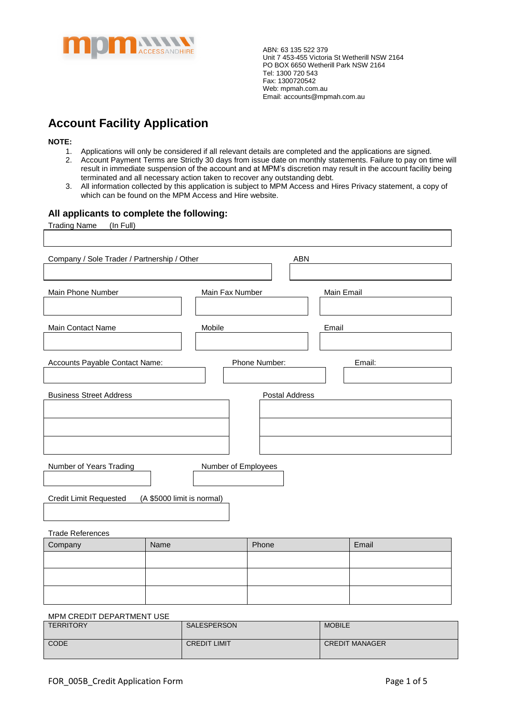

# **Account Facility Application**

**NOTE:**

- 1. Applications will only be considered if all relevant details are completed and the applications are signed.
- 2. Account Payment Terms are Strictly 30 days from issue date on monthly statements. Failure to pay on time will result in immediate suspension of the account and at MPM's discretion may result in the account facility being terminated and all necessary action taken to recover any outstanding debt.
- 3. All information collected by this application is subject to MPM Access and Hires Privacy statement, a copy of which can be found on the MPM Access and Hire website.

#### **All applicants to complete the following:**

| <b>Trading Name</b><br>(In Full)                      |                            |                 |                |            |        |
|-------------------------------------------------------|----------------------------|-----------------|----------------|------------|--------|
|                                                       |                            |                 |                |            |        |
|                                                       |                            |                 |                |            |        |
| Company / Sole Trader / Partnership / Other           |                            |                 | ABN            |            |        |
|                                                       |                            |                 |                |            |        |
|                                                       |                            |                 |                |            |        |
| Main Phone Number                                     |                            | Main Fax Number |                | Main Email |        |
|                                                       |                            |                 |                |            |        |
|                                                       |                            |                 |                |            |        |
| Main Contact Name                                     | Mobile                     |                 |                | Email      |        |
|                                                       |                            |                 |                |            |        |
|                                                       |                            |                 |                |            |        |
| <b>Accounts Payable Contact Name:</b>                 |                            |                 | Phone Number:  |            | Email: |
|                                                       |                            |                 |                |            |        |
|                                                       |                            |                 |                |            |        |
| <b>Business Street Address</b>                        |                            |                 | Postal Address |            |        |
|                                                       |                            |                 |                |            |        |
|                                                       |                            |                 |                |            |        |
|                                                       |                            |                 |                |            |        |
|                                                       |                            |                 |                |            |        |
|                                                       |                            |                 |                |            |        |
|                                                       |                            |                 |                |            |        |
| <b>Number of Years Trading</b><br>Number of Employees |                            |                 |                |            |        |
|                                                       |                            |                 |                |            |        |
|                                                       |                            |                 |                |            |        |
| <b>Credit Limit Requested</b>                         | (A \$5000 limit is normal) |                 |                |            |        |
|                                                       |                            |                 |                |            |        |
|                                                       |                            |                 |                |            |        |
| <b>Trade References</b>                               |                            |                 |                |            |        |
| Company                                               | Name                       |                 | Phone          |            | Email  |
|                                                       |                            |                 |                |            |        |
|                                                       |                            |                 |                |            |        |
|                                                       |                            |                 |                |            |        |
|                                                       |                            |                 |                |            |        |
|                                                       |                            |                 |                |            |        |

#### MPM CREDIT DEPARTMENT USE

| <b>TERRITORY</b> | SALESPERSON         | <b>MOBILE</b>         |
|------------------|---------------------|-----------------------|
| CODE             | <b>CREDIT LIMIT</b> | <b>CREDIT MANAGER</b> |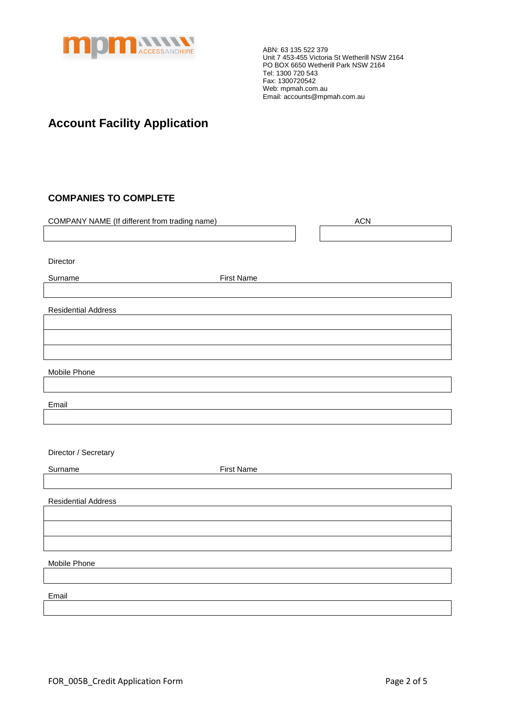

## **Account Facility Application**

### **COMPANIES TO COMPLETE**

| COMPANY NAME (If different from trading name) |                   | <b>ACN</b> |
|-----------------------------------------------|-------------------|------------|
|                                               |                   |            |
|                                               |                   |            |
| Director                                      |                   |            |
| Surname                                       | <b>First Name</b> |            |
|                                               |                   |            |
| <b>Residential Address</b>                    |                   |            |
|                                               |                   |            |
|                                               |                   |            |
|                                               |                   |            |
| Mobile Phone                                  |                   |            |
|                                               |                   |            |
| Email                                         |                   |            |
|                                               |                   |            |
|                                               |                   |            |
| Director / Secretary                          |                   |            |
| Surname                                       | <b>First Name</b> |            |
|                                               |                   |            |
| <b>Residential Address</b>                    |                   |            |
|                                               |                   |            |
|                                               |                   |            |
|                                               |                   |            |
| Mobile Phone                                  |                   |            |
|                                               |                   |            |
| Email                                         |                   |            |
|                                               |                   |            |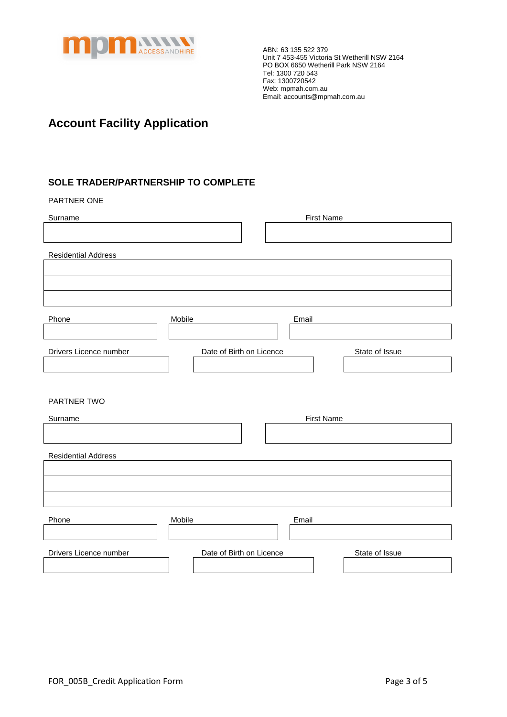

## **Account Facility Application**

### **SOLE TRADER/PARTNERSHIP TO COMPLETE**

#### PARTNER ONE

| Surname                    | <b>First Name</b>        |                |
|----------------------------|--------------------------|----------------|
|                            |                          |                |
| <b>Residential Address</b> |                          |                |
|                            |                          |                |
|                            |                          |                |
|                            |                          |                |
| Phone                      | Mobile<br>Email          |                |
|                            |                          |                |
| Drivers Licence number     | Date of Birth on Licence | State of Issue |
|                            |                          |                |
|                            |                          |                |
| PARTNER TWO                |                          |                |
| Surname                    | <b>First Name</b>        |                |
|                            |                          |                |
| <b>Residential Address</b> |                          |                |
|                            |                          |                |
|                            |                          |                |
|                            |                          |                |
| Phone                      | Mobile<br>Email          |                |
|                            |                          |                |
| Drivers Licence number     | Date of Birth on Licence | State of Issue |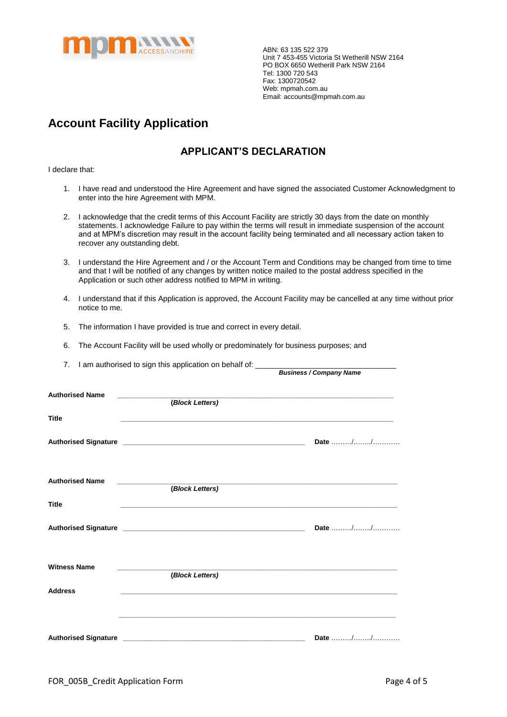

*Business / Company Name*

## **Account Facility Application**

### **APPLICANT'S DECLARATION**

I declare that:

- 1. I have read and understood the Hire Agreement and have signed the associated Customer Acknowledgment to enter into the hire Agreement with MPM.
- 2. I acknowledge that the credit terms of this Account Facility are strictly 30 days from the date on monthly statements. I acknowledge Failure to pay within the terms will result in immediate suspension of the account and at MPM's discretion may result in the account facility being terminated and all necessary action taken to recover any outstanding debt.
- 3. I understand the Hire Agreement and / or the Account Term and Conditions may be changed from time to time and that I will be notified of any changes by written notice mailed to the postal address specified in the Application or such other address notified to MPM in writing.
- 4. I understand that if this Application is approved, the Account Facility may be cancelled at any time without prior notice to me.
- 5. The information I have provided is true and correct in every detail.
- 6. The Account Facility will be used wholly or predominately for business purposes; and
- 7. I am authorised to sign this application on behalf of:

| <b>Authorised Name</b> | (Block Letters) |         |
|------------------------|-----------------|---------|
| <b>Title</b>           |                 |         |
|                        |                 | Date // |
| <b>Authorised Name</b> | (Block Letters) |         |
| <b>Title</b>           |                 |         |
|                        |                 | Date // |
| <b>Witness Name</b>    | (Block Letters) |         |
| <b>Address</b>         |                 |         |
|                        |                 | Date // |